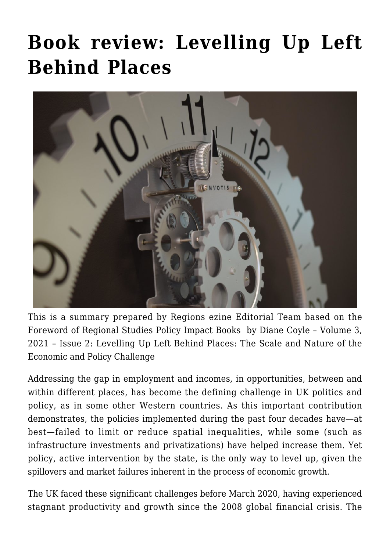## **[Book review: Levelling Up Left](https://regions.regionalstudies.org/ezine/article/issue-12-impact-book-3/) [Behind Places](https://regions.regionalstudies.org/ezine/article/issue-12-impact-book-3/)**



This is a summary prepared by Regions ezine Editorial Team based on the [Foreword](https://www.tandfonline.com/doi/full/10.1080/2578711X.2021.1992161) of [Regional Studies Policy Impact Books](https://www.tandfonline.com/journals/rpim20) by [Diane Coyle](mailto:dc700@cam.ac.uk) – Volume 3, 2021 – [Issue 2: Levelling Up Left Behind Places: The Scale and Nature of the](https://www.tandfonline.com/toc/rpim20/3/2) [Economic and Policy Challenge](https://www.tandfonline.com/toc/rpim20/3/2)

Addressing the gap in employment and incomes, in opportunities, between and within different places, has become the defining challenge in UK politics and policy, as in some other Western countries. As this important contribution demonstrates, the policies implemented during the past four decades have—at best—failed to limit or reduce spatial inequalities, while some (such as infrastructure investments and privatizations) have helped increase them. Yet policy, active intervention by the state, is the only way to level up, given the spillovers and market failures inherent in the process of economic growth.

The UK faced these significant challenges before March 2020, having experienced stagnant productivity and growth since the 2008 global financial crisis. The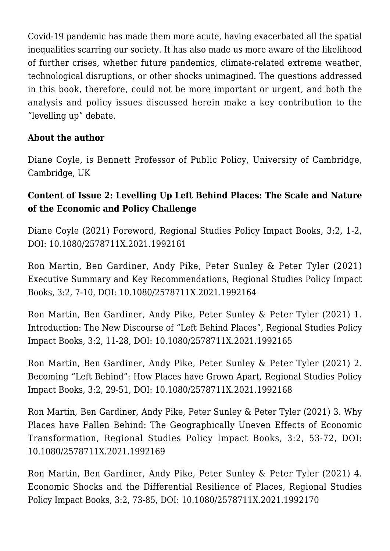Covid-19 pandemic has made them more acute, having exacerbated all the spatial inequalities scarring our society. It has also made us more aware of the likelihood of further crises, whether future pandemics, climate-related extreme weather, technological disruptions, or other shocks unimagined. The questions addressed in this book, therefore, could not be more important or urgent, and both the analysis and policy issues discussed herein make a key contribution to the "levelling up" debate.

## **About the author**

[Diane Coyle](mailto:dc700@cam.ac.uk), is Bennett Professor of Public Policy, University of Cambridge, Cambridge, UK

## **Content of [Issue 2: Levelling Up Left Behind Places: The Scale and Nature](https://www.tandfonline.com/toc/rpim20/3/2) [of the Economic and Policy Challenge](https://www.tandfonline.com/toc/rpim20/3/2)**

Diane Coyle (2021) [Foreword, Regional Studies Policy Impact Books,](https://doi.org/10.1080/2578711X.2021.1992161) 3:2, 1-2, DOI: 10.1080/2578711X.2021.1992161

Ron Martin, Ben Gardiner, Andy Pike, Peter Sunley & Peter Tyler (2021) [Executive Summary and Key Recommendations, Regional Studies Policy Impact](https://doi.org/10.1080/2578711X.2021.1992164) [Books,](https://doi.org/10.1080/2578711X.2021.1992164) 3:2, 7-10, DOI: 10.1080/2578711X.2021.1992164

Ron Martin, Ben Gardiner, Andy Pike, Peter Sunley & Peter Tyler (2021) [1.](https://doi.org/10.1080/2578711X.2021.1992165) [Introduction: The New Discourse of "Left Behind Places", Regional Studies Policy](https://doi.org/10.1080/2578711X.2021.1992165) [Impact Books,](https://doi.org/10.1080/2578711X.2021.1992165) 3:2, 11-28, DOI: 10.1080/2578711X.2021.1992165

Ron Martin, Ben Gardiner, Andy Pike, Peter Sunley & Peter Tyler (2021) [2.](https://doi.org/10.1080/2578711X.2021.1992168) [Becoming "Left Behind": How Places have Grown Apart, Regional Studies Policy](https://doi.org/10.1080/2578711X.2021.1992168) [Impact Books,](https://doi.org/10.1080/2578711X.2021.1992168) 3:2, 29-51, DOI: 10.1080/2578711X.2021.1992168

Ron Martin, Ben Gardiner, Andy Pike, Peter Sunley & Peter Tyler (2021) [3. Why](https://doi.org/10.1080/2578711X.2021.1992169) [Places have Fallen Behind: The Geographically Uneven Effects of Economic](https://doi.org/10.1080/2578711X.2021.1992169) [Transformation, Regional Studies Policy Impact Books,](https://doi.org/10.1080/2578711X.2021.1992169) 3:2, 53-72, DOI: 10.1080/2578711X.2021.1992169

Ron Martin, Ben Gardiner, Andy Pike, Peter Sunley & Peter Tyler (2021) [4.](https://doi.org/10.1080/2578711X.2021.1992170) [Economic Shocks and the Differential Resilience of Places, Regional Studies](https://doi.org/10.1080/2578711X.2021.1992170) [Policy Impact Books](https://doi.org/10.1080/2578711X.2021.1992170), 3:2, 73-85, DOI: 10.1080/2578711X.2021.1992170